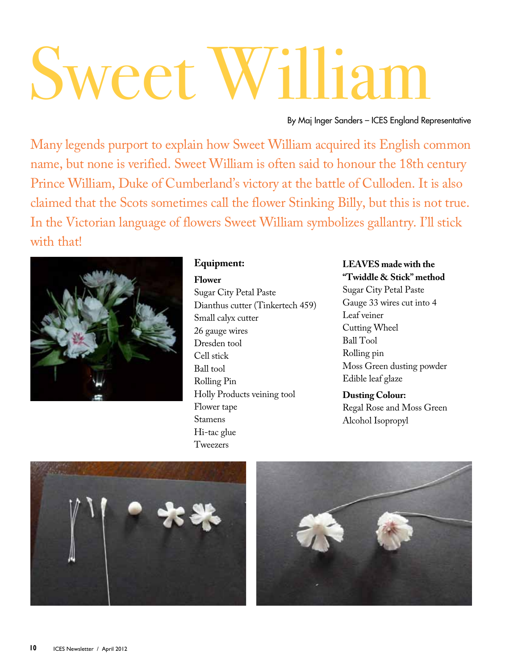# Sweet Willia

By Maj Inger Sanders – ICES England Representative

Many legends purport to explain how Sweet William acquired its English common name, but none is verified. Sweet William is often said to honour the 18th century Prince William, Duke of Cumberland's victory at the battle of Culloden. It is also claimed that the Scots sometimes call the flower Stinking Billy, but this is not true. In the Victorian language of flowers Sweet William symbolizes gallantry. I'll stick with that!



## **Equipment:**

**Flower** Sugar City Petal Paste Dianthus cutter (Tinkertech 459) Small calyx cutter 26 gauge wires Dresden tool Cell stick Ball tool Rolling Pin Holly Products veining tool Flower tape Stamens Hi-tac glue Tweezers

# **LEAVES made with the**

**"Twiddle & Stick" method** Sugar City Petal Paste Gauge 33 wires cut into 4 Leaf veiner Cutting Wheel Ball Tool Rolling pin Moss Green dusting powder Edible leaf glaze

**Dusting Colour:**  Regal Rose and Moss Green Alcohol Isopropyl